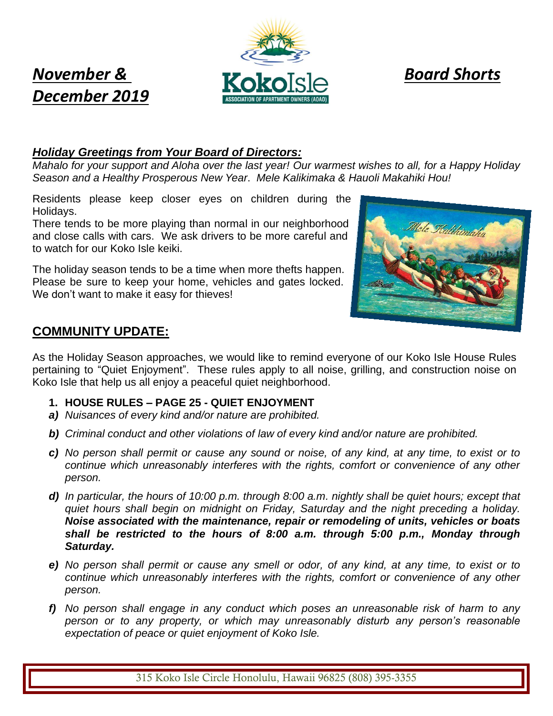# *December 2019*



## *Holiday Greetings from Your Board of Directors:*

*Mahalo for your support and Aloha over the last year! Our warmest wishes to all, for a Happy Holiday Season and a Healthy Prosperous New Year*. *Mele Kalikimaka & Hauoli Makahiki Hou!*

Residents please keep closer eyes on children during the Holidays.

There tends to be more playing than normal in our neighborhood and close calls with cars. We ask drivers to be more careful and to watch for our Koko Isle keiki.

The holiday season tends to be a time when more thefts happen. Please be sure to keep your home, vehicles and gates locked. We don't want to make it easy for thieves!



# **COMMUNITY UPDATE:**

As the Holiday Season approaches, we would like to remind everyone of our Koko Isle House Rules pertaining to "Quiet Enjoyment". These rules apply to all noise, grilling, and construction noise on Koko Isle that help us all enjoy a peaceful quiet neighborhood.

- **1. HOUSE RULES – PAGE 25 - QUIET ENJOYMENT**
- *a) Nuisances of every kind and/or nature are prohibited.*
- *b) Criminal conduct and other violations of law of every kind and/or nature are prohibited.*
- *c) No person shall permit or cause any sound or noise, of any kind, at any time, to exist or to continue which unreasonably interferes with the rights, comfort or convenience of any other person.*
- *d) In particular, the hours of 10:00 p.m. through 8:00 a.m. nightly shall be quiet hours; except that quiet hours shall begin on midnight on Friday, Saturday and the night preceding a holiday. Noise associated with the maintenance, repair or remodeling of units, vehicles or boats shall be restricted to the hours of 8:00 a.m. through 5:00 p.m., Monday through Saturday.*
- *e) No person shall permit or cause any smell or odor, of any kind, at any time, to exist or to continue which unreasonably interferes with the rights, comfort or convenience of any other person.*
- *f) No person shall engage in any conduct which poses an unreasonable risk of harm to any person or to any property, or which may unreasonably disturb any person's reasonable expectation of peace or quiet enjoyment of Koko Isle.*

315 Koko Isle Circle Honolulu, Hawaii 96825 (808) 395-3355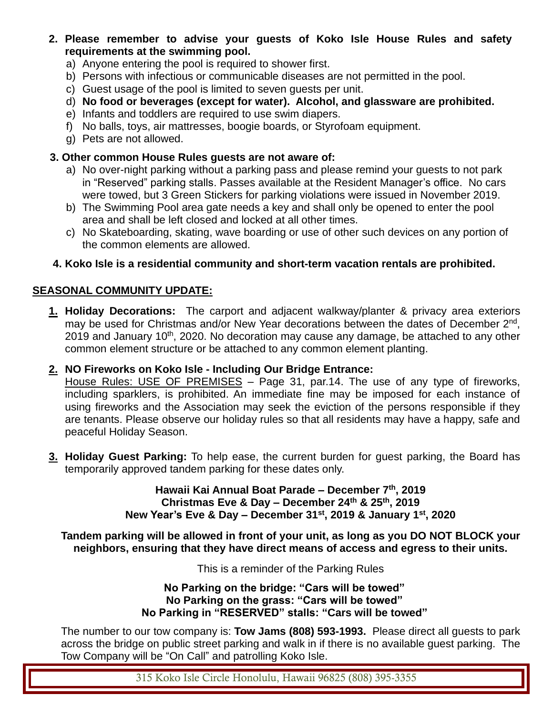- **2. Please remember to advise your guests of Koko Isle House Rules and safety requirements at the swimming pool.**
	- a) Anyone entering the pool is required to shower first.
	- b) Persons with infectious or communicable diseases are not permitted in the pool.
	- c) Guest usage of the pool is limited to seven guests per unit.
	- d) **No food or beverages (except for water). Alcohol, and glassware are prohibited.**
	- e) Infants and toddlers are required to use swim diapers.
	- f) No balls, toys, air mattresses, boogie boards, or Styrofoam equipment.
	- g) Pets are not allowed.

#### **3. Other common House Rules guests are not aware of:**

- a) No over-night parking without a parking pass and please remind your guests to not park in "Reserved" parking stalls. Passes available at the Resident Manager's office. No cars were towed, but 3 Green Stickers for parking violations were issued in November 2019.
- b) The Swimming Pool area gate needs a key and shall only be opened to enter the pool area and shall be left closed and locked at all other times.
- c) No Skateboarding, skating, wave boarding or use of other such devices on any portion of the common elements are allowed.

### **4. Koko Isle is a residential community and short-term vacation rentals are prohibited.**

#### **SEASONAL COMMUNITY UPDATE:**

**1. Holiday Decorations:** The carport and adjacent walkway/planter & privacy area exteriors may be used for Christmas and/or New Year decorations between the dates of December 2<sup>nd</sup>, 2019 and January 10<sup>th</sup>, 2020. No decoration may cause any damage, be attached to any other common element structure or be attached to any common element planting.

#### **2. NO Fireworks on Koko Isle - Including Our Bridge Entrance:**

House Rules: USE OF PREMISES - Page 31, par.14. The use of any type of fireworks, including sparklers, is prohibited. An immediate fine may be imposed for each instance of using fireworks and the Association may seek the eviction of the persons responsible if they are tenants. Please observe our holiday rules so that all residents may have a happy, safe and peaceful Holiday Season.

**3. Holiday Guest Parking:** To help ease, the current burden for guest parking, the Board has temporarily approved tandem parking for these dates only.

> **Hawaii Kai Annual Boat Parade – December 7 th, 2019 Christmas Eve & Day – December 24th & 25th, 2019 New Year's Eve & Day – December 31st, 2019 & January 1st, 2020**

**Tandem parking will be allowed in front of your unit, as long as you DO NOT BLOCK your neighbors, ensuring that they have direct means of access and egress to their units.**

This is a reminder of the Parking Rules

**No Parking on the bridge: "Cars will be towed" No Parking on the grass: "Cars will be towed" No Parking in "RESERVED" stalls: "Cars will be towed"**

The number to our tow company is: **Tow Jams (808) 593-1993.** Please direct all guests to park across the bridge on public street parking and walk in if there is no available guest parking. The Tow Company will be "On Call" and patrolling Koko Isle.

315 Koko Isle Circle Honolulu, Hawaii 96825 (808) 395-3355